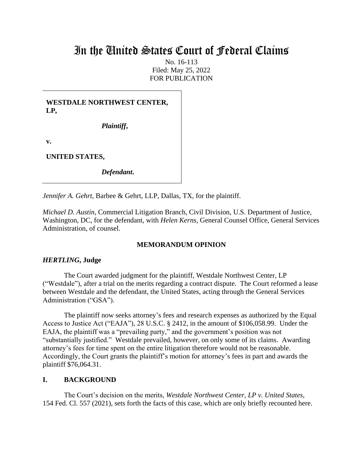# In the United States Court of Federal Claims

No. 16-113 Filed: May 25, 2022 FOR PUBLICATION

**WESTDALE NORTHWEST CENTER, LP,**

*Plaintiff***,**

**v.**

**UNITED STATES,**

*Defendant***.**

*Jennifer A. Gehrt*, Barbee & Gehrt, LLP, Dallas, TX, for the plaintiff.

*Michael D. Austin*, Commercial Litigation Branch, Civil Division, U.S. Department of Justice, Washington, DC, for the defendant, with *Helen Kerns*, General Counsel Office, General Services Administration, of counsel.

# **MEMORANDUM OPINION**

#### *HERTLING***, Judge**

The Court awarded judgment for the plaintiff, Westdale Northwest Center, LP ("Westdale"), after a trial on the merits regarding a contract dispute. The Court reformed a lease between Westdale and the defendant, the United States, acting through the General Services Administration ("GSA").

The plaintiff now seeks attorney's fees and research expenses as authorized by the Equal Access to Justice Act ("EAJA"), 28 U.S.C. § 2412, in the amount of \$106,058.99. Under the EAJA, the plaintiff was a "prevailing party," and the government's position was not "substantially justified." Westdale prevailed, however, on only some of its claims. Awarding attorney's fees for time spent on the entire litigation therefore would not be reasonable. Accordingly, the Court grants the plaintiff's motion for attorney's fees in part and awards the plaintiff \$76,064.31.

#### **I. BACKGROUND**

The Court's decision on the merits, *Westdale Northwest Center, LP v. United States*, 154 Fed. Cl. 557 (2021), sets forth the facts of this case, which are only briefly recounted here.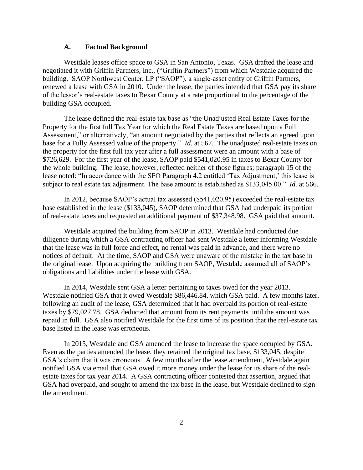#### **A. Factual Background**

Westdale leases office space to GSA in San Antonio, Texas. GSA drafted the lease and negotiated it with Griffin Partners, Inc., ("Griffin Partners") from which Westdale acquired the building. SAOP Northwest Center, LP ("SAOP"), a single-asset entity of Griffin Partners, renewed a lease with GSA in 2010. Under the lease, the parties intended that GSA pay its share of the lessor's real-estate taxes to Bexar County at a rate proportional to the percentage of the building GSA occupied.

The lease defined the real-estate tax base as "the Unadjusted Real Estate Taxes for the Property for the first full Tax Year for which the Real Estate Taxes are based upon a Full Assessment," or alternatively, "an amount negotiated by the parties that reflects an agreed upon base for a Fully Assessed value of the property." *Id.* at 567. The unadjusted real-estate taxes on the property for the first full tax year after a full assessment were an amount with a base of \$726,629. For the first year of the lease, SAOP paid \$541,020.95 in taxes to Bexar County for the whole building. The lease, however, reflected neither of those figures; paragraph 15 of the lease noted: "In accordance with the SFO Paragraph 4.2 entitled 'Tax Adjustment,' this lease is subject to real estate tax adjustment. The base amount is established as \$133,045.00." *Id.* at 566.

In 2012, because SAOP's actual tax assessed (\$541,020.95) exceeded the real-estate tax base established in the lease (\$133,045), SAOP determined that GSA had underpaid its portion of real-estate taxes and requested an additional payment of \$37,348.98. GSA paid that amount.

Westdale acquired the building from SAOP in 2013. Westdale had conducted due diligence during which a GSA contracting officer had sent Westdale a letter informing Westdale that the lease was in full force and effect, no rental was paid in advance, and there were no notices of default. At the time, SAOP and GSA were unaware of the mistake in the tax base in the original lease. Upon acquiring the building from SAOP, Westdale assumed all of SAOP's obligations and liabilities under the lease with GSA.

In 2014, Westdale sent GSA a letter pertaining to taxes owed for the year 2013. Westdale notified GSA that it owed Westdale \$86,446.84, which GSA paid. A few months later, following an audit of the lease, GSA determined that it had overpaid its portion of real-estate taxes by \$79,027.78. GSA deducted that amount from its rent payments until the amount was repaid in full. GSA also notified Westdale for the first time of its position that the real-estate tax base listed in the lease was erroneous.

In 2015, Westdale and GSA amended the lease to increase the space occupied by GSA. Even as the parties amended the lease, they retained the original tax base, \$133,045, despite GSA's claim that it was erroneous. A few months after the lease amendment, Westdale again notified GSA via email that GSA owed it more money under the lease for its share of the realestate taxes for tax year 2014. A GSA contracting officer contested that assertion, argued that GSA had overpaid, and sought to amend the tax base in the lease, but Westdale declined to sign the amendment.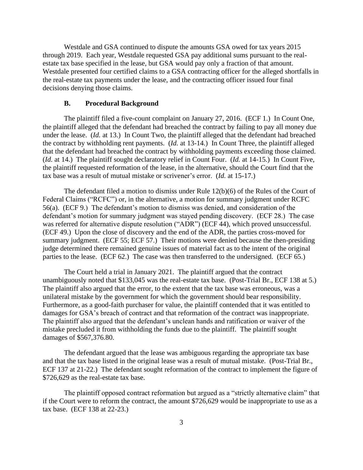Westdale and GSA continued to dispute the amounts GSA owed for tax years 2015 through 2019. Each year, Westdale requested GSA pay additional sums pursuant to the realestate tax base specified in the lease, but GSA would pay only a fraction of that amount. Westdale presented four certified claims to a GSA contracting officer for the alleged shortfalls in the real-estate tax payments under the lease, and the contracting officer issued four final decisions denying those claims.

#### **B. Procedural Background**

The plaintiff filed a five-count complaint on January 27, 2016. (ECF 1.) In Count One, the plaintiff alleged that the defendant had breached the contract by failing to pay all money due under the lease. (*Id.* at 13.) In Count Two, the plaintiff alleged that the defendant had breached the contract by withholding rent payments. (*Id.* at 13-14.) In Count Three, the plaintiff alleged that the defendant had breached the contract by withholding payments exceeding those claimed. (*Id.* at 14.) The plaintiff sought declaratory relief in Count Four. (*Id.* at 14-15.) In Count Five, the plaintiff requested reformation of the lease, in the alternative, should the Court find that the tax base was a result of mutual mistake or scrivener's error. (*Id.* at 15-17.)

The defendant filed a motion to dismiss under Rule 12(b)(6) of the Rules of the Court of Federal Claims ("RCFC") or, in the alternative, a motion for summary judgment under RCFC 56(a). (ECF 9.) The defendant's motion to dismiss was denied, and consideration of the defendant's motion for summary judgment was stayed pending discovery. (ECF 28.) The case was referred for alternative dispute resolution ("ADR") (ECF 44), which proved unsuccessful. (ECF 49.) Upon the close of discovery and the end of the ADR, the parties cross-moved for summary judgment. (ECF 55; ECF 57.) Their motions were denied because the then-presiding judge determined there remained genuine issues of material fact as to the intent of the original parties to the lease. (ECF 62.) The case was then transferred to the undersigned. (ECF 65.)

The Court held a trial in January 2021. The plaintiff argued that the contract unambiguously noted that \$133,045 was the real-estate tax base. (Post-Trial Br., ECF 138 at 5.) The plaintiff also argued that the error, to the extent that the tax base was erroneous, was a unilateral mistake by the government for which the government should bear responsibility. Furthermore, as a good-faith purchaser for value, the plaintiff contended that it was entitled to damages for GSA's breach of contract and that reformation of the contract was inappropriate. The plaintiff also argued that the defendant's unclean hands and ratification or waiver of the mistake precluded it from withholding the funds due to the plaintiff. The plaintiff sought damages of \$567,376.80.

The defendant argued that the lease was ambiguous regarding the appropriate tax base and that the tax base listed in the original lease was a result of mutual mistake. (Post-Trial Br., ECF 137 at 21-22.) The defendant sought reformation of the contract to implement the figure of \$726,629 as the real-estate tax base.

The plaintiff opposed contract reformation but argued as a "strictly alternative claim" that if the Court were to reform the contract, the amount \$726,629 would be inappropriate to use as a tax base. (ECF 138 at 22-23.)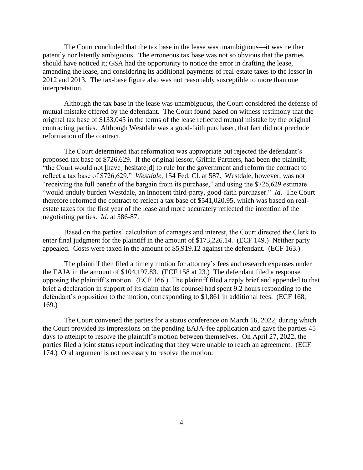The Court concluded that the tax base in the lease was unambiguous—it was neither patently nor latently ambiguous. The erroneous tax base was not so obvious that the parties should have noticed it; GSA had the opportunity to notice the error in drafting the lease, amending the lease, and considering its additional payments of real-estate taxes to the lessor in 2012 and 2013. The tax-base figure also was not reasonably susceptible to more than one interpretation.

Although the tax base in the lease was unambiguous, the Court considered the defense of mutual mistake offered by the defendant. The Court found based on witness testimony that the original tax base of \$133,045 in the terms of the lease reflected mutual mistake by the original contracting parties. Although Westdale was a good-faith purchaser, that fact did not preclude reformation of the contract.

The Court determined that reformation was appropriate but rejected the defendant's proposed tax base of \$726,629. If the original lessor, Griffin Partners, had been the plaintiff, "the Court would not [have] hesitate[d] to rule for the government and reform the contract to reflect a tax base of \$726,629." *Westdale*, 154 Fed. Cl. at 587. Westdale, however, was not "receiving the full benefit of the bargain from its purchase," and using the \$726,629 estimate "would unduly burden Westdale, an innocent third-party, good-faith purchaser." *Id.* The Court therefore reformed the contract to reflect a tax base of \$541,020.95, which was based on realestate taxes for the first year of the lease and more accurately reflected the intention of the negotiating parties. *Id.* at 586-87.

Based on the parties' calculation of damages and interest, the Court directed the Clerk to enter final judgment for the plaintiff in the amount of \$173,226.14. (ECF 149.) Neither party appealed. Costs were taxed in the amount of \$5,919.12 against the defendant. (ECF 163.)

The plaintiff then filed a timely motion for attorney's fees and research expenses under the EAJA in the amount of \$104,197.83. (ECF 158 at 23.) The defendant filed a response opposing the plaintiff's motion. (ECF 166.) The plaintiff filed a reply brief and appended to that brief a declaration in support of its claim that its counsel had spent 9.2 hours responding to the defendant's opposition to the motion, corresponding to \$1,861 in additional fees. (ECF 168, 169.)

The Court convened the parties for a status conference on March 16, 2022, during which the Court provided its impressions on the pending EAJA-fee application and gave the parties 45 days to attempt to resolve the plaintiff's motion between themselves. On April 27, 2022, the parties filed a joint status report indicating that they were unable to reach an agreement. (ECF 174.) Oral argument is not necessary to resolve the motion.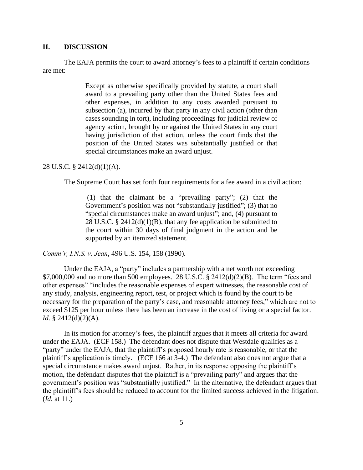## **II. DISCUSSION**

The EAJA permits the court to award attorney's fees to a plaintiff if certain conditions are met:

> Except as otherwise specifically provided by statute, a court shall award to a prevailing party other than the United States fees and other expenses, in addition to any costs awarded pursuant to subsection (a), incurred by that party in any civil action (other than cases sounding in tort), including proceedings for judicial review of agency action, brought by or against the United States in any court having jurisdiction of that action, unless the court finds that the position of the United States was substantially justified or that special circumstances make an award unjust.

## 28 U.S.C. § 2412(d)(1)(A).

The Supreme Court has set forth four requirements for a fee award in a civil action:

(1) that the claimant be a "prevailing party"; (2) that the Government's position was not "substantially justified"; (3) that no "special circumstances make an award unjust"; and, (4) pursuant to 28 U.S.C. § 2412 $(d)(1)(B)$ , that any fee application be submitted to the court within 30 days of final judgment in the action and be supported by an itemized statement.

*Comm'r, I.N.S. v. Jean*, 496 U.S. 154, 158 (1990).

Under the EAJA, a "party" includes a partnership with a net worth not exceeding \$7,000,000 and no more than 500 employees. 28 U.S.C. § 2412(d)(2)(B). The term "fees and other expenses" "includes the reasonable expenses of expert witnesses, the reasonable cost of any study, analysis, engineering report, test, or project which is found by the court to be necessary for the preparation of the party's case, and reasonable attorney fees," which are not to exceed \$125 per hour unless there has been an increase in the cost of living or a special factor. *Id.* § 2412(d)(2)(A).

In its motion for attorney's fees, the plaintiff argues that it meets all criteria for award under the EAJA. (ECF 158.) The defendant does not dispute that Westdale qualifies as a "party" under the EAJA, that the plaintiff's proposed hourly rate is reasonable, or that the plaintiff's application is timely. (ECF 166 at 3-4.) The defendant also does not argue that a special circumstance makes award unjust. Rather, in its response opposing the plaintiff's motion, the defendant disputes that the plaintiff is a "prevailing party" and argues that the government's position was "substantially justified." In the alternative, the defendant argues that the plaintiff's fees should be reduced to account for the limited success achieved in the litigation. (*Id.* at 11.)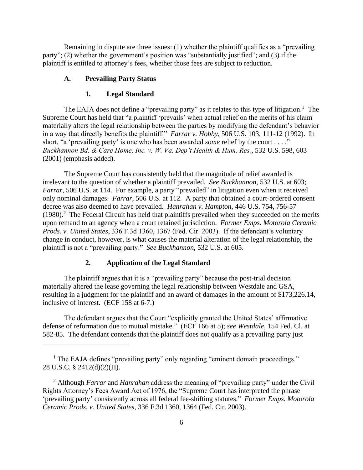Remaining in dispute are three issues: (1) whether the plaintiff qualifies as a "prevailing party"; (2) whether the government's position was "substantially justified"; and (3) if the plaintiff is entitled to attorney's fees, whether those fees are subject to reduction.

#### **A. Prevailing Party Status**

#### **1. Legal Standard**

The EAJA does not define a "prevailing party" as it relates to this type of litigation.<sup>1</sup> The Supreme Court has held that "a plaintiff 'prevails' when actual relief on the merits of his claim materially alters the legal relationship between the parties by modifying the defendant's behavior in a way that directly benefits the plaintiff." *Farrar v. Hobby*, 506 U.S. 103, 111-12 (1992). In short, "a 'prevailing party' is one who has been awarded *some* relief by the court . . . ." *Buckhannon Bd. & Care Home, Inc. v. W. Va. Dep't Health & Hum. Res.*, 532 U.S. 598, 603 (2001) (emphasis added).

The Supreme Court has consistently held that the magnitude of relief awarded is irrelevant to the question of whether a plaintiff prevailed. *See Buckhannon*, 532 U.S. at 603; *Farrar*, 506 U.S. at 114. For example, a party "prevailed" in litigation even when it received only nominal damages. *Farrar*, 506 U.S. at 112*.* A party that obtained a court-ordered consent decree was also deemed to have prevailed. *Hanrahan v. Hampton*, 446 U.S. 754, 756-57  $(1980).<sup>2</sup>$  The Federal Circuit has held that plaintiffs prevailed when they succeeded on the merits upon remand to an agency when a court retained jurisdiction. *Former Emps. Motorola Ceramic Prods. v. United States*, 336 F.3d 1360, 1367 (Fed. Cir. 2003). If the defendant's voluntary change in conduct, however, is what causes the material alteration of the legal relationship, the plaintiff is not a "prevailing party." *See Buckhannon*, 532 U.S. at 605.

## **2. Application of the Legal Standard**

The plaintiff argues that it is a "prevailing party" because the post-trial decision materially altered the lease governing the legal relationship between Westdale and GSA, resulting in a judgment for the plaintiff and an award of damages in the amount of \$173,226.14, inclusive of interest. (ECF 158 at 6-7.)

The defendant argues that the Court "explicitly granted the United States' affirmative defense of reformation due to mutual mistake." (ECF 166 at 5); *see Westdale*, 154 Fed. Cl. at 582-85. The defendant contends that the plaintiff does not qualify as a prevailing party just

<sup>&</sup>lt;sup>1</sup> The EAJA defines "prevailing party" only regarding "eminent domain proceedings." 28 U.S.C. § 2412(d)(2)(H).

<sup>2</sup> Although *Farrar* and *Hanrahan* address the meaning of "prevailing party" under the Civil Rights Attorney's Fees Award Act of 1976, the "Supreme Court has interpreted the phrase 'prevailing party' consistently across all federal fee-shifting statutes." *Former Emps. Motorola Ceramic Prods. v. United States*, 336 F.3d 1360, 1364 (Fed. Cir. 2003).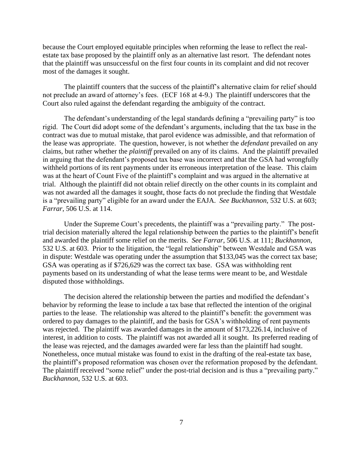because the Court employed equitable principles when reforming the lease to reflect the realestate tax base proposed by the plaintiff only as an alternative last resort. The defendant notes that the plaintiff was unsuccessful on the first four counts in its complaint and did not recover most of the damages it sought.

The plaintiff counters that the success of the plaintiff's alternative claim for relief should not preclude an award of attorney's fees. (ECF 168 at 4-9.) The plaintiff underscores that the Court also ruled against the defendant regarding the ambiguity of the contract.

The defendant's understanding of the legal standards defining a "prevailing party" is too rigid. The Court did adopt some of the defendant's arguments, including that the tax base in the contract was due to mutual mistake, that parol evidence was admissible, and that reformation of the lease was appropriate. The question, however, is not whether the *defendant* prevailed on any claims, but rather whether the *plaintiff* prevailed on any of its claims. And the plaintiff prevailed in arguing that the defendant's proposed tax base was incorrect and that the GSA had wrongfully withheld portions of its rent payments under its erroneous interpretation of the lease. This claim was at the heart of Count Five of the plaintiff's complaint and was argued in the alternative at trial. Although the plaintiff did not obtain relief directly on the other counts in its complaint and was not awarded all the damages it sought, those facts do not preclude the finding that Westdale is a "prevailing party" eligible for an award under the EAJA. *See Buckhannon*, 532 U.S. at 603; *Farrar*, 506 U.S. at 114.

Under the Supreme Court's precedents, the plaintiff was a "prevailing party." The posttrial decision materially altered the legal relationship between the parties to the plaintiff's benefit and awarded the plaintiff some relief on the merits. *See Farrar*, 506 U.S. at 111; *Buckhannon*, 532 U.S. at 603. Prior to the litigation, the "legal relationship" between Westdale and GSA was in dispute: Westdale was operating under the assumption that \$133,045 was the correct tax base; GSA was operating as if \$726,629 was the correct tax base. GSA was withholding rent payments based on its understanding of what the lease terms were meant to be, and Westdale disputed those withholdings.

The decision altered the relationship between the parties and modified the defendant's behavior by reforming the lease to include a tax base that reflected the intention of the original parties to the lease. The relationship was altered to the plaintiff's benefit: the government was ordered to pay damages to the plaintiff, and the basis for GSA's withholding of rent payments was rejected. The plaintiff was awarded damages in the amount of \$173,226.14, inclusive of interest, in addition to costs. The plaintiff was not awarded all it sought. Its preferred reading of the lease was rejected, and the damages awarded were far less than the plaintiff had sought. Nonetheless, once mutual mistake was found to exist in the drafting of the real-estate tax base, the plaintiff's proposed reformation was chosen over the reformation proposed by the defendant. The plaintiff received "some relief" under the post-trial decision and is thus a "prevailing party." *Buckhannon*, 532 U.S. at 603.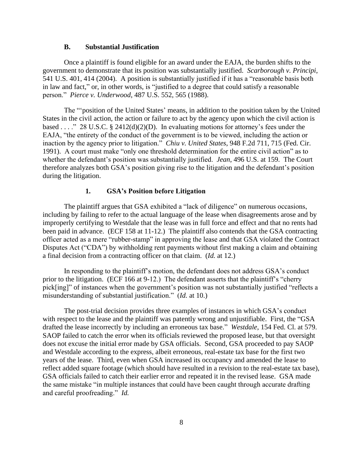## **B. Substantial Justification**

Once a plaintiff is found eligible for an award under the EAJA, the burden shifts to the government to demonstrate that its position was substantially justified. *Scarborough v. Principi*, 541 U.S. 401, 414 (2004). A position is substantially justified if it has a "reasonable basis both in law and fact," or, in other words, is "justified to a degree that could satisfy a reasonable person." *Pierce v. Underwood*, 487 U.S. 552, 565 (1988).

The "'position of the United States' means, in addition to the position taken by the United States in the civil action, the action or failure to act by the agency upon which the civil action is based . . . ." 28 U.S.C. § 2412(d)(2)(D). In evaluating motions for attorney's fees under the EAJA, "the entirety of the conduct of the government is to be viewed, including the action or inaction by the agency prior to litigation." *Chiu v. United States*, 948 F.2d 711, 715 (Fed. Cir. 1991). A court must make "only one threshold determination for the entire civil action" as to whether the defendant's position was substantially justified. *Jean*, 496 U.S. at 159. The Court therefore analyzes both GSA's position giving rise to the litigation and the defendant's position during the litigation.

#### **1. GSA's Position before Litigation**

The plaintiff argues that GSA exhibited a "lack of diligence" on numerous occasions, including by failing to refer to the actual language of the lease when disagreements arose and by improperly certifying to Westdale that the lease was in full force and effect and that no rents had been paid in advance. (ECF 158 at 11-12.) The plaintiff also contends that the GSA contracting officer acted as a mere "rubber-stamp" in approving the lease and that GSA violated the Contract Disputes Act ("CDA") by withholding rent payments without first making a claim and obtaining a final decision from a contracting officer on that claim. (*Id.* at 12.)

In responding to the plaintiff's motion, the defendant does not address GSA's conduct prior to the litigation. (ECF 166 at 9-12.) The defendant asserts that the plaintiff's "cherry pick[ing]" of instances when the government's position was not substantially justified "reflects a misunderstanding of substantial justification." (*Id.* at 10.)

The post-trial decision provides three examples of instances in which GSA's conduct with respect to the lease and the plaintiff was patently wrong and unjustifiable. First, the "GSA drafted the lease incorrectly by including an erroneous tax base." *Westdale*, 154 Fed. Cl. at 579. SAOP failed to catch the error when its officials reviewed the proposed lease, but that oversight does not excuse the initial error made by GSA officials. Second, GSA proceeded to pay SAOP and Westdale according to the express, albeit erroneous, real-estate tax base for the first two years of the lease. Third, even when GSA increased its occupancy and amended the lease to reflect added square footage (which should have resulted in a revision to the real-estate tax base), GSA officials failed to catch their earlier error and repeated it in the revised lease. GSA made the same mistake "in multiple instances that could have been caught through accurate drafting and careful proofreading." *Id.*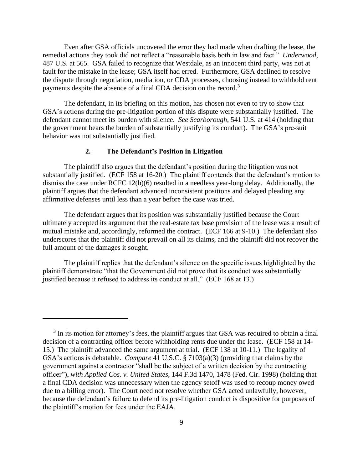Even after GSA officials uncovered the error they had made when drafting the lease, the remedial actions they took did not reflect a "reasonable basis both in law and fact." *Underwood*, 487 U.S. at 565. GSA failed to recognize that Westdale, as an innocent third party, was not at fault for the mistake in the lease; GSA itself had erred. Furthermore, GSA declined to resolve the dispute through negotiation, mediation, or CDA processes, choosing instead to withhold rent payments despite the absence of a final CDA decision on the record.<sup>3</sup>

The defendant, in its briefing on this motion, has chosen not even to try to show that GSA's actions during the pre-litigation portion of this dispute were substantially justified. The defendant cannot meet its burden with silence. *See Scarborough*, 541 U.S. at 414 (holding that the government bears the burden of substantially justifying its conduct). The GSA's pre-suit behavior was not substantially justified.

# **2. The Defendant's Position in Litigation**

The plaintiff also argues that the defendant's position during the litigation was not substantially justified. (ECF 158 at 16-20.) The plaintiff contends that the defendant's motion to dismiss the case under RCFC 12(b)(6) resulted in a needless year-long delay. Additionally, the plaintiff argues that the defendant advanced inconsistent positions and delayed pleading any affirmative defenses until less than a year before the case was tried.

The defendant argues that its position was substantially justified because the Court ultimately accepted its argument that the real-estate tax base provision of the lease was a result of mutual mistake and, accordingly, reformed the contract. (ECF 166 at 9-10.) The defendant also underscores that the plaintiff did not prevail on all its claims, and the plaintiff did not recover the full amount of the damages it sought.

The plaintiff replies that the defendant's silence on the specific issues highlighted by the plaintiff demonstrate "that the Government did not prove that its conduct was substantially justified because it refused to address its conduct at all." (ECF 168 at 13.)

<sup>&</sup>lt;sup>3</sup> In its motion for attorney's fees, the plaintiff argues that GSA was required to obtain a final decision of a contracting officer before withholding rents due under the lease. (ECF 158 at 14- 15.) The plaintiff advanced the same argument at trial. (ECF 138 at 10-11.) The legality of GSA's actions is debatable. *Compare* 41 U.S.C. § 7103(a)(3) (providing that claims by the government against a contractor "shall be the subject of a written decision by the contracting officer"), *with Applied Cos. v. United States*, 144 F.3d 1470, 1478 (Fed. Cir. 1998) (holding that a final CDA decision was unnecessary when the agency setoff was used to recoup money owed due to a billing error). The Court need not resolve whether GSA acted unlawfully, however, because the defendant's failure to defend its pre-litigation conduct is dispositive for purposes of the plaintiff's motion for fees under the EAJA.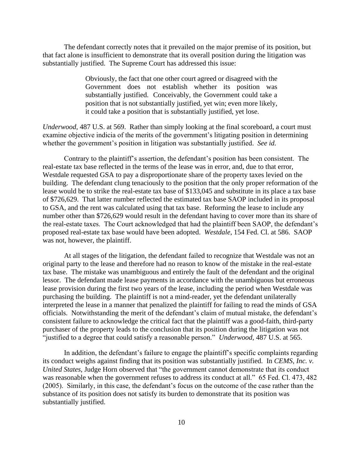The defendant correctly notes that it prevailed on the major premise of its position, but that fact alone is insufficient to demonstrate that its overall position during the litigation was substantially justified. The Supreme Court has addressed this issue:

> Obviously, the fact that one other court agreed or disagreed with the Government does not establish whether its position was substantially justified. Conceivably, the Government could take a position that is not substantially justified, yet win; even more likely, it could take a position that is substantially justified, yet lose.

*Underwood*, 487 U.S. at 569. Rather than simply looking at the final scoreboard, a court must examine objective indicia of the merits of the government's litigating position in determining whether the government's position in litigation was substantially justified. *See id.* 

Contrary to the plaintiff's assertion, the defendant's position has been consistent. The real-estate tax base reflected in the terms of the lease was in error, and, due to that error, Westdale requested GSA to pay a disproportionate share of the property taxes levied on the building. The defendant clung tenaciously to the position that the only proper reformation of the lease would be to strike the real-estate tax base of \$133,045 and substitute in its place a tax base of \$726,629. That latter number reflected the estimated tax base SAOP included in its proposal to GSA, and the rent was calculated using that tax base. Reforming the lease to include any number other than \$726,629 would result in the defendant having to cover more than its share of the real-estate taxes. The Court acknowledged that had the plaintiff been SAOP, the defendant's proposed real-estate tax base would have been adopted. *Westdale*, 154 Fed. Cl. at 586. SAOP was not, however, the plaintiff.

At all stages of the litigation, the defendant failed to recognize that Westdale was not an original party to the lease and therefore had no reason to know of the mistake in the real-estate tax base. The mistake was unambiguous and entirely the fault of the defendant and the original lessor. The defendant made lease payments in accordance with the unambiguous but erroneous lease provision during the first two years of the lease, including the period when Westdale was purchasing the building. The plaintiff is not a mind-reader, yet the defendant unilaterally interpreted the lease in a manner that penalized the plaintiff for failing to read the minds of GSA officials. Notwithstanding the merit of the defendant's claim of mutual mistake, the defendant's consistent failure to acknowledge the critical fact that the plaintiff was a good-faith, third-party purchaser of the property leads to the conclusion that its position during the litigation was not "justified to a degree that could satisfy a reasonable person." *Underwood*, 487 U.S. at 565.

In addition, the defendant's failure to engage the plaintiff's specific complaints regarding its conduct weighs against finding that its position was substantially justified. In *CEMS, Inc. v. United States*, Judge Horn observed that "the government cannot demonstrate that its conduct was reasonable when the government refuses to address its conduct at all." 65 Fed. Cl. 473, 482 (2005). Similarly, in this case, the defendant's focus on the outcome of the case rather than the substance of its position does not satisfy its burden to demonstrate that its position was substantially justified.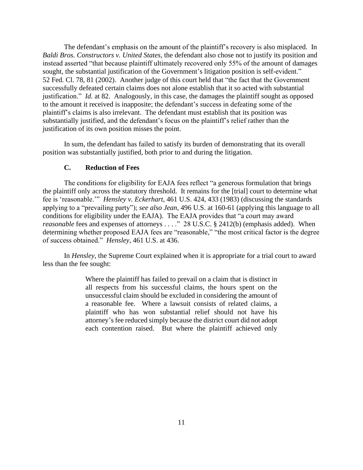The defendant's emphasis on the amount of the plaintiff's recovery is also misplaced. In *Baldi Bros. Constructors v. United States*, the defendant also chose not to justify its position and instead asserted "that because plaintiff ultimately recovered only 55% of the amount of damages sought, the substantial justification of the Government's litigation position is self-evident." 52 Fed. Cl. 78, 81 (2002). Another judge of this court held that "the fact that the Government successfully defeated certain claims does not alone establish that it so acted with substantial justification." *Id.* at 82. Analogously, in this case, the damages the plaintiff sought as opposed to the amount it received is inapposite; the defendant's success in defeating some of the plaintiff's claims is also irrelevant. The defendant must establish that its position was substantially justified, and the defendant's focus on the plaintiff's relief rather than the justification of its own position misses the point.

In sum, the defendant has failed to satisfy its burden of demonstrating that its overall position was substantially justified, both prior to and during the litigation.

## **C. Reduction of Fees**

The conditions for eligibility for EAJA fees reflect "a generous formulation that brings the plaintiff only across the statutory threshold. It remains for the [trial] court to determine what fee is 'reasonable.'" *Hensley v. Eckerhart*, 461 U.S. 424, 433 (1983) (discussing the standards applying to a "prevailing party"); *see also Jean*, 496 U.S. at 160-61 (applying this language to all conditions for eligibility under the EAJA). The EAJA provides that "a court may award *reasonable* fees and expenses of attorneys . . . ." 28 U.S.C. § 2412(b) (emphasis added). When determining whether proposed EAJA fees are "reasonable," "the most critical factor is the degree of success obtained." *Hensley*, 461 U.S. at 436.

In *Hensley*, the Supreme Court explained when it is appropriate for a trial court to award less than the fee sought:

> Where the plaintiff has failed to prevail on a claim that is distinct in all respects from his successful claims, the hours spent on the unsuccessful claim should be excluded in considering the amount of a reasonable fee. Where a lawsuit consists of related claims, a plaintiff who has won substantial relief should not have his attorney's fee reduced simply because the district court did not adopt each contention raised. But where the plaintiff achieved only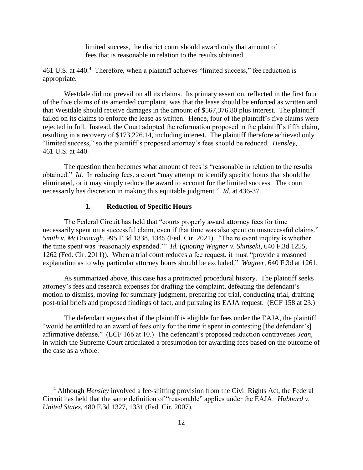limited success, the district court should award only that amount of fees that is reasonable in relation to the results obtained.

461 U.S. at 440.<sup>4</sup> Therefore, when a plaintiff achieves "limited success," fee reduction is appropriate.

Westdale did not prevail on all its claims. Its primary assertion, reflected in the first four of the five claims of its amended complaint, was that the lease should be enforced as written and that Westdale should receive damages in the amount of \$567,376.80 plus interest. The plaintiff failed on its claims to enforce the lease as written. Hence, four of the plaintiff's five claims were rejected in full. Instead, the Court adopted the reformation proposed in the plaintiff's fifth claim, resulting in a recovery of \$173,226.14, including interest. The plaintiff therefore achieved only "limited success," so the plaintiff's proposed attorney's fees should be reduced. *Hensley*, 461 U.S. at 440.

The question then becomes what amount of fees is "reasonable in relation to the results obtained." *Id.* In reducing fees, a court "may attempt to identify specific hours that should be eliminated, or it may simply reduce the award to account for the limited success. The court necessarily has discretion in making this equitable judgment." *Id.* at 436-37.

# **1. Reduction of Specific Hours**

The Federal Circuit has held that "courts properly award attorney fees for time necessarily spent on a successful claim, even if that time was also spent on unsuccessful claims." *Smith v. McDonough*, 995 F.3d 1338, 1345 (Fed. Cir. 2021). "The relevant inquiry is whether the time spent was 'reasonably expended.'" *Id.* (*quoting Wagner v. Shinseki*, 640 F.3d 1255, 1262 (Fed. Cir. 2011)). When a trial court reduces a fee request, it must "provide a reasoned explanation as to why particular attorney hours should be excluded." *Wagner*, 640 F.3d at 1261.

As summarized above, this case has a protracted procedural history. The plaintiff seeks attorney's fees and research expenses for drafting the complaint, defeating the defendant's motion to dismiss, moving for summary judgment, preparing for trial, conducting trial, drafting post-trial briefs and proposed findings of fact, and pursuing its EAJA request. (ECF 158 at 23.)

The defendant argues that if the plaintiff is eligible for fees under the EAJA, the plaintiff "would be entitled to an award of fees only for the time it spent in contesting [the defendant's] affirmative defense." (ECF 166 at 10.) The defendant's proposed reduction contravenes *Jean*, in which the Supreme Court articulated a presumption for awarding fees based on the outcome of the case as a whole:

<sup>4</sup> Although *Hensley* involved a fee-shifting provision from the Civil Rights Act, the Federal Circuit has held that the same definition of "reasonable" applies under the EAJA. *Hubbard v. United States*, 480 F.3d 1327, 1331 (Fed. Cir. 2007).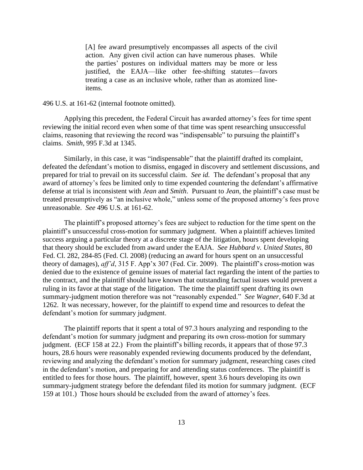[A] fee award presumptively encompasses all aspects of the civil action. Any given civil action can have numerous phases. While the parties' postures on individual matters may be more or less justified, the EAJA—like other fee-shifting statutes—favors treating a case as an inclusive whole, rather than as atomized lineitems.

#### 496 U.S. at 161-62 (internal footnote omitted).

Applying this precedent, the Federal Circuit has awarded attorney's fees for time spent reviewing the initial record even when some of that time was spent researching unsuccessful claims, reasoning that reviewing the record was "indispensable" to pursuing the plaintiff's claims. *Smith*, 995 F.3d at 1345.

Similarly, in this case, it was "indispensable" that the plaintiff drafted its complaint, defeated the defendant's motion to dismiss, engaged in discovery and settlement discussions, and prepared for trial to prevail on its successful claim. *See id.* The defendant's proposal that any award of attorney's fees be limited only to time expended countering the defendant's affirmative defense at trial is inconsistent with *Jean* and *Smith*. Pursuant to *Jean*, the plaintiff's case must be treated presumptively as "an inclusive whole," unless some of the proposed attorney's fees prove unreasonable. *See* 496 U.S. at 161-62.

The plaintiff's proposed attorney's fees are subject to reduction for the time spent on the plaintiff's unsuccessful cross-motion for summary judgment. When a plaintiff achieves limited success arguing a particular theory at a discrete stage of the litigation, hours spent developing that theory should be excluded from award under the EAJA. *See Hubbard v. United States*, 80 Fed. Cl. 282, 284-85 (Fed. Cl. 2008) (reducing an award for hours spent on an unsuccessful theory of damages), *aff'd*, 315 F. App'x 307 (Fed. Cir. 2009). The plaintiff's cross-motion was denied due to the existence of genuine issues of material fact regarding the intent of the parties to the contract, and the plaintiff should have known that outstanding factual issues would prevent a ruling in its favor at that stage of the litigation. The time the plaintiff spent drafting its own summary-judgment motion therefore was not "reasonably expended." *See Wagner*, 640 F.3d at 1262. It was necessary, however, for the plaintiff to expend time and resources to defeat the defendant's motion for summary judgment.

The plaintiff reports that it spent a total of 97.3 hours analyzing and responding to the defendant's motion for summary judgment and preparing its own cross-motion for summary judgment. (ECF 158 at 22.) From the plaintiff's billing records, it appears that of those 97.3 hours, 28.6 hours were reasonably expended reviewing documents produced by the defendant, reviewing and analyzing the defendant's motion for summary judgment, researching cases cited in the defendant's motion, and preparing for and attending status conferences. The plaintiff is entitled to fees for those hours. The plaintiff, however, spent 3.6 hours developing its own summary-judgment strategy before the defendant filed its motion for summary judgment. (ECF 159 at 101.) Those hours should be excluded from the award of attorney's fees.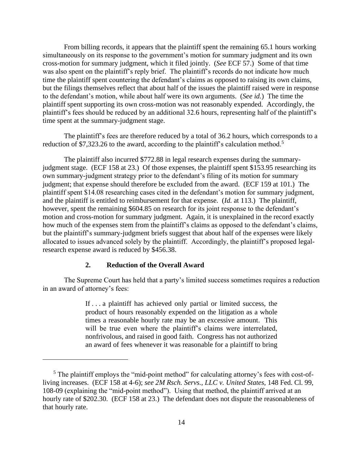From billing records, it appears that the plaintiff spent the remaining 65.1 hours working simultaneously on its response to the government's motion for summary judgment and its own cross-motion for summary judgment, which it filed jointly. (*See* ECF 57.) Some of that time was also spent on the plaintiff's reply brief. The plaintiff's records do not indicate how much time the plaintiff spent countering the defendant's claims as opposed to raising its own claims, but the filings themselves reflect that about half of the issues the plaintiff raised were in response to the defendant's motion, while about half were its own arguments. (*See id.*) The time the plaintiff spent supporting its own cross-motion was not reasonably expended. Accordingly, the plaintiff's fees should be reduced by an additional 32.6 hours, representing half of the plaintiff's time spent at the summary-judgment stage.

The plaintiff's fees are therefore reduced by a total of 36.2 hours, which corresponds to a reduction of \$7,323.26 to the award, according to the plaintiff's calculation method.<sup>5</sup>

The plaintiff also incurred \$772.88 in legal research expenses during the summaryjudgment stage. (ECF 158 at 23.) Of those expenses, the plaintiff spent \$153.95 researching its own summary-judgment strategy prior to the defendant's filing of its motion for summary judgment; that expense should therefore be excluded from the award. (ECF 159 at 101.) The plaintiff spent \$14.08 researching cases cited in the defendant's motion for summary judgment, and the plaintiff is entitled to reimbursement for that expense. (*Id.* at 113.) The plaintiff, however, spent the remaining \$604.85 on research for its joint response to the defendant's motion and cross-motion for summary judgment. Again, it is unexplained in the record exactly how much of the expenses stem from the plaintiff's claims as opposed to the defendant's claims, but the plaintiff's summary-judgment briefs suggest that about half of the expenses were likely allocated to issues advanced solely by the plaintiff. Accordingly, the plaintiff's proposed legalresearch expense award is reduced by \$456.38.

## **2. Reduction of the Overall Award**

The Supreme Court has held that a party's limited success sometimes requires a reduction in an award of attorney's fees:

> If . . . a plaintiff has achieved only partial or limited success, the product of hours reasonably expended on the litigation as a whole times a reasonable hourly rate may be an excessive amount. This will be true even where the plaintiff's claims were interrelated, nonfrivolous, and raised in good faith. Congress has not authorized an award of fees whenever it was reasonable for a plaintiff to bring

<sup>&</sup>lt;sup>5</sup> The plaintiff employs the "mid-point method" for calculating attorney's fees with cost-ofliving increases. (ECF 158 at 4-6); *see 2M Rsch. Servs., LLC v. United States*, 148 Fed. Cl. 99, 108-09 (explaining the "mid-point method"). Using that method, the plaintiff arrived at an hourly rate of \$202.30. (ECF 158 at 23.) The defendant does not dispute the reasonableness of that hourly rate.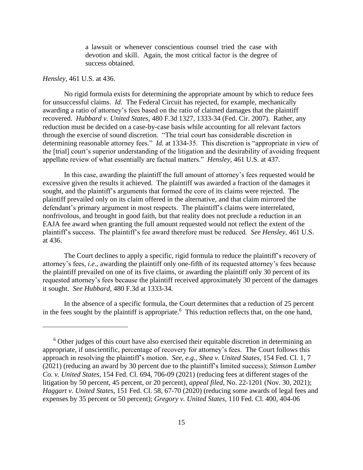a lawsuit or whenever conscientious counsel tried the case with devotion and skill. Again, the most critical factor is the degree of success obtained.

#### *Hensley*, 461 U.S. at 436.

No rigid formula exists for determining the appropriate amount by which to reduce fees for unsuccessful claims. *Id.* The Federal Circuit has rejected, for example, mechanically awarding a ratio of attorney's fees based on the ratio of claimed damages that the plaintiff recovered. *Hubbard v. United States*, 480 F.3d 1327, 1333-34 (Fed. Cir. 2007). Rather, any reduction must be decided on a case-by-case basis while accounting for all relevant factors through the exercise of sound discretion. "The trial court has considerable discretion in determining reasonable attorney fees." *Id.* at 1334-35. This discretion is "appropriate in view of the [trial] court's superior understanding of the litigation and the desirability of avoiding frequent appellate review of what essentially are factual matters." *Hensley*, 461 U.S. at 437.

In this case, awarding the plaintiff the full amount of attorney's fees requested would be excessive given the results it achieved. The plaintiff was awarded a fraction of the damages it sought, and the plaintiff's arguments that formed the core of its claims were rejected. The plaintiff prevailed only on its claim offered in the alternative, and that claim mirrored the defendant's primary argument in most respects. The plaintiff's claims were interrelated, nonfrivolous, and brought in good faith, but that reality does not preclude a reduction in an EAJA fee award when granting the full amount requested would not reflect the extent of the plaintiff's success. The plaintiff's fee award therefore must be reduced. *See Hensley*, 461 U.S. at 436.

The Court declines to apply a specific, rigid formula to reduce the plaintiff's recovery of attorney's fees, *i.e.*, awarding the plaintiff only one-fifth of its requested attorney's fees because the plaintiff prevailed on one of its five claims, or awarding the plaintiff only 30 percent of its requested attorney's fees because the plaintiff received approximately 30 percent of the damages it sought. *See Hubbard*, 480 F.3d at 1333-34.

In the absence of a specific formula, the Court determines that a reduction of 25 percent in the fees sought by the plaintiff is appropriate.<sup>6</sup> This reduction reflects that, on the one hand,

 $6$  Other judges of this court have also exercised their equitable discretion in determining an appropriate, if unscientific, percentage of recovery for attorney's fees. The Court follows this approach in resolving the plaintiff's motion. *See, e.g.*, *Shea v. United States*, 154 Fed. Cl. 1, 7 (2021) (reducing an award by 30 percent due to the plaintiff's limited success); *Stimson Lumber Co. v. United States*, 154 Fed. Cl. 694, 706-09 (2021) (reducing fees at different stages of the litigation by 50 percent, 45 percent, or 20 percent), *appeal filed*, No. 22-1201 (Nov. 30, 2021); *Haggart v. United States*, 151 Fed. Cl. 58, 67-70 (2020) (reducing some awards of legal fees and expenses by 35 percent or 50 percent); *Gregory v. United States*, 110 Fed. Cl. 400, 404-06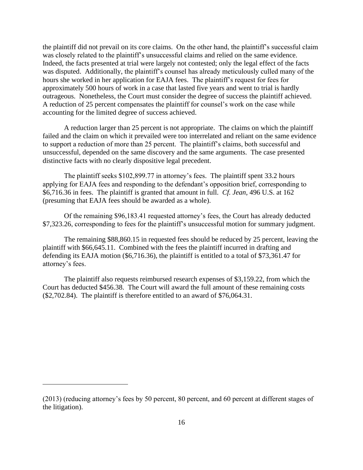the plaintiff did not prevail on its core claims. On the other hand, the plaintiff's successful claim was closely related to the plaintiff's unsuccessful claims and relied on the same evidence. Indeed, the facts presented at trial were largely not contested; only the legal effect of the facts was disputed. Additionally, the plaintiff's counsel has already meticulously culled many of the hours she worked in her application for EAJA fees. The plaintiff's request for fees for approximately 500 hours of work in a case that lasted five years and went to trial is hardly outrageous. Nonetheless, the Court must consider the degree of success the plaintiff achieved. A reduction of 25 percent compensates the plaintiff for counsel's work on the case while accounting for the limited degree of success achieved.

A reduction larger than 25 percent is not appropriate. The claims on which the plaintiff failed and the claim on which it prevailed were too interrelated and reliant on the same evidence to support a reduction of more than 25 percent. The plaintiff's claims, both successful and unsuccessful, depended on the same discovery and the same arguments. The case presented distinctive facts with no clearly dispositive legal precedent.

The plaintiff seeks \$102,899.77 in attorney's fees. The plaintiff spent 33.2 hours applying for EAJA fees and responding to the defendant's opposition brief, corresponding to \$6,716.36 in fees. The plaintiff is granted that amount in full. *Cf. Jean*, 496 U.S. at 162 (presuming that EAJA fees should be awarded as a whole).

Of the remaining \$96,183.41 requested attorney's fees, the Court has already deducted \$7,323.26, corresponding to fees for the plaintiff's unsuccessful motion for summary judgment.

The remaining \$88,860.15 in requested fees should be reduced by 25 percent, leaving the plaintiff with \$66,645.11. Combined with the fees the plaintiff incurred in drafting and defending its EAJA motion (\$6,716.36), the plaintiff is entitled to a total of \$73,361.47 for attorney's fees.

The plaintiff also requests reimbursed research expenses of \$3,159.22, from which the Court has deducted \$456.38. The Court will award the full amount of these remaining costs (\$2,702.84). The plaintiff is therefore entitled to an award of \$76,064.31.

<sup>(2013) (</sup>reducing attorney's fees by 50 percent, 80 percent, and 60 percent at different stages of the litigation).